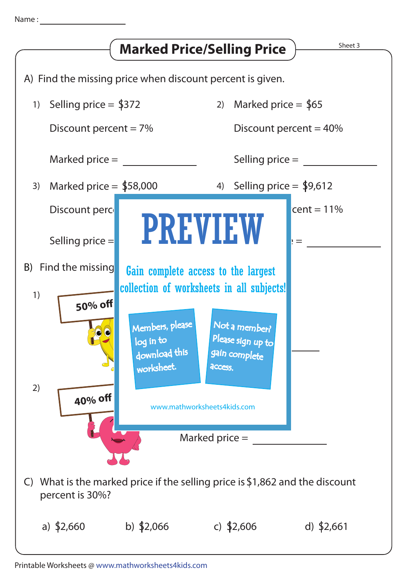